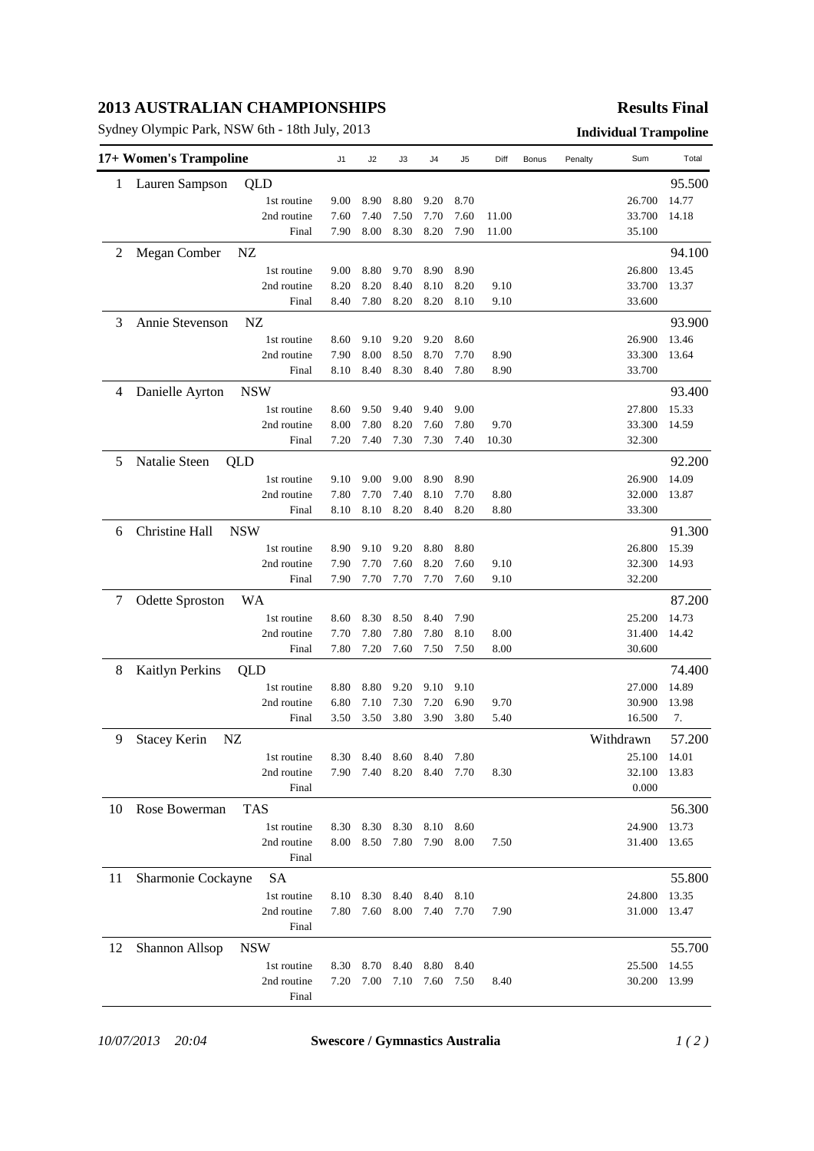## **2013 AUSTRALIAN CHAMPIONSHIPS**

Sydney Olympic Park, NSW 6th - 18th July, 2013 **Individual Trampoline**

## **Results Final**

|    | 17+ Women's Trampoline        |                      | J <sub>1</sub> | J2           | J3             | J4           | J5           | Diff         | Bonus | Penalty | Sum              | Total  |
|----|-------------------------------|----------------------|----------------|--------------|----------------|--------------|--------------|--------------|-------|---------|------------------|--------|
| 1  | Lauren Sampson<br>QLD         |                      |                |              |                |              |              |              |       |         |                  | 95.500 |
|    |                               | 1st routine          | 9.00           | 8.90         | 8.80           | 9.20         | 8.70         |              |       |         | 26.700           | 14.77  |
|    |                               | 2nd routine          | 7.60           | 7.40         | 7.50           | 7.70         | 7.60         | 11.00        |       |         | 33.700           | 14.18  |
|    |                               | Final                | 7.90           | 8.00         | 8.30           | 8.20         | 7.90         | 11.00        |       |         | 35.100           |        |
| 2  | NZ<br>Megan Comber            |                      |                |              |                |              |              |              |       |         |                  | 94.100 |
|    |                               | 1st routine          | 9.00           | 8.80         | 9.70           | 8.90         | 8.90         |              |       |         | 26.800           | 13.45  |
|    |                               | 2nd routine          | 8.20           | 8.20         | 8.40           | 8.10         | 8.20         | 9.10         |       |         | 33.700           | 13.37  |
|    |                               | Final                | 8.40           | 7.80         | 8.20           | 8.20         | 8.10         | 9.10         |       |         | 33.600           |        |
| 3  | Annie Stevenson<br>NZ         |                      |                |              |                |              |              |              |       |         |                  | 93.900 |
|    |                               | 1st routine          | 8.60           | 9.10         | 9.20           | 9.20         | 8.60         |              |       |         | 26.900           | 13.46  |
|    |                               | 2nd routine          | 7.90           | 8.00         | 8.50           | 8.70         | 7.70         | 8.90         |       |         | 33.300           | 13.64  |
|    |                               | Final                | 8.10           | 8.40         | 8.30           | 8.40         | 7.80         | 8.90         |       |         | 33.700           |        |
| 4  | Danielle Ayrton<br><b>NSW</b> |                      |                |              |                |              |              |              |       |         |                  | 93.400 |
|    |                               | 1st routine          | 8.60           | 9.50         | 9.40           | 9.40         | 9.00         |              |       |         | 27.800           | 15.33  |
|    |                               | 2nd routine          | 8.00           | 7.80         | 8.20           | 7.60         | 7.80         | 9.70         |       |         | 33.300           | 14.59  |
|    |                               | Final                | 7.20           | 7.40         | 7.30           | 7.30         | 7.40         | 10.30        |       |         | 32.300           |        |
| 5  | Natalie Steen<br>QLD          |                      |                |              |                |              |              |              |       |         |                  | 92.200 |
|    |                               | 1st routine          | 9.10           | 9.00         | 9.00           | 8.90         | 8.90         |              |       |         | 26.900           | 14.09  |
|    |                               | 2nd routine          | 7.80           | 7.70         | 7.40           | 8.10         | 7.70         | 8.80         |       |         | 32.000           | 13.87  |
|    |                               | Final                | 8.10           | 8.10         | 8.20           | 8.40         | 8.20         | 8.80         |       |         | 33.300           |        |
|    |                               |                      |                |              |                |              |              |              |       |         |                  |        |
| 6  | Christine Hall<br><b>NSW</b>  |                      |                |              |                |              |              |              |       |         |                  | 91.300 |
|    |                               | 1st routine          | 8.90           | 9.10         | 9.20           | 8.80         | 8.80         |              |       |         | 26.800           | 15.39  |
|    |                               | 2nd routine<br>Final | 7.90<br>7.90   | 7.70<br>7.70 | 7.60<br>7.70   | 8.20<br>7.70 | 7.60<br>7.60 | 9.10<br>9.10 |       |         | 32.300<br>32.200 | 14.93  |
|    |                               |                      |                |              |                |              |              |              |       |         |                  |        |
| 7  | Odette Sproston<br><b>WA</b>  |                      |                |              |                |              |              |              |       |         |                  | 87.200 |
|    |                               | 1st routine          | 8.60           | 8.30         | 8.50           | 8.40         | 7.90         |              |       |         | 25.200           | 14.73  |
|    |                               | 2nd routine          | 7.70           | 7.80         | 7.80           | 7.80         | 8.10         | 8.00         |       |         | 31.400           | 14.42  |
|    |                               | Final                | 7.80           | 7.20         | 7.60           | 7.50         | 7.50         | 8.00         |       |         | 30.600           |        |
| 8  | Kaitlyn Perkins<br>QLD        |                      |                |              |                |              |              |              |       |         |                  | 74.400 |
|    |                               | 1st routine          | 8.80           | 8.80         | 9.20           | 9.10         | 9.10         |              |       |         | 27.000           | 14.89  |
|    |                               | 2nd routine          | 6.80           | 7.10         | 7.30           | 7.20         | 6.90         | 9.70         |       |         | 30.900           | 13.98  |
|    |                               | Final                | 3.50           | 3.50         | 3.80           | 3.90         | 3.80         | 5.40         |       |         | 16.500           | 7.     |
| 9  | NZ<br><b>Stacey Kerin</b>     |                      |                |              |                |              |              |              |       |         | Withdrawn        | 57.200 |
|    |                               | 1st routine          | 8.30           | 8.40         | 8.60           | 8.40         | 7.80         |              |       |         | 25.100 14.01     |        |
|    |                               | 2nd routine          | 7.90           |              | 7.40 8.20 8.40 |              | 7.70         | 8.30         |       |         | 32.100 13.83     |        |
|    |                               | Final                |                |              |                |              |              |              |       |         | 0.000            |        |
| 10 | <b>TAS</b><br>Rose Bowerman   |                      |                |              |                |              |              |              |       |         |                  | 56.300 |
|    |                               | 1st routine          | 8.30           | 8.30         | 8.30           | 8.10         | 8.60         |              |       |         | 24.900           | 13.73  |
|    |                               | 2nd routine          | 8.00           | 8.50         | 7.80           | 7.90         | 8.00         | 7.50         |       |         | 31.400           | 13.65  |
|    |                               | Final                |                |              |                |              |              |              |       |         |                  |        |
| 11 | Sharmonie Cockayne            | <b>SA</b>            |                |              |                |              |              |              |       |         |                  | 55.800 |
|    |                               | 1st routine          | 8.10           | 8.30         | 8.40           | 8.40         | 8.10         |              |       |         | 24.800           | 13.35  |
|    |                               | 2nd routine          | 7.80           | 7.60         | 8.00           | 7.40         | 7.70         | 7.90         |       |         | 31.000           | 13.47  |
|    |                               | Final                |                |              |                |              |              |              |       |         |                  |        |
| 12 | Shannon Allsop<br><b>NSW</b>  |                      |                |              |                |              |              |              |       |         |                  | 55.700 |
|    |                               | 1st routine          | 8.30           | 8.70         | 8.40           | 8.80         | 8.40         |              |       |         | 25.500           | 14.55  |
|    |                               | 2nd routine          | 7.20           | 7.00         | 7.10           | 7.60         | 7.50         | 8.40         |       |         | 30.200           | 13.99  |
|    |                               | Final                |                |              |                |              |              |              |       |         |                  |        |

*10/07/2013 20:04* **Swescore / Gymnastics Australia** *1 ( 2 )*